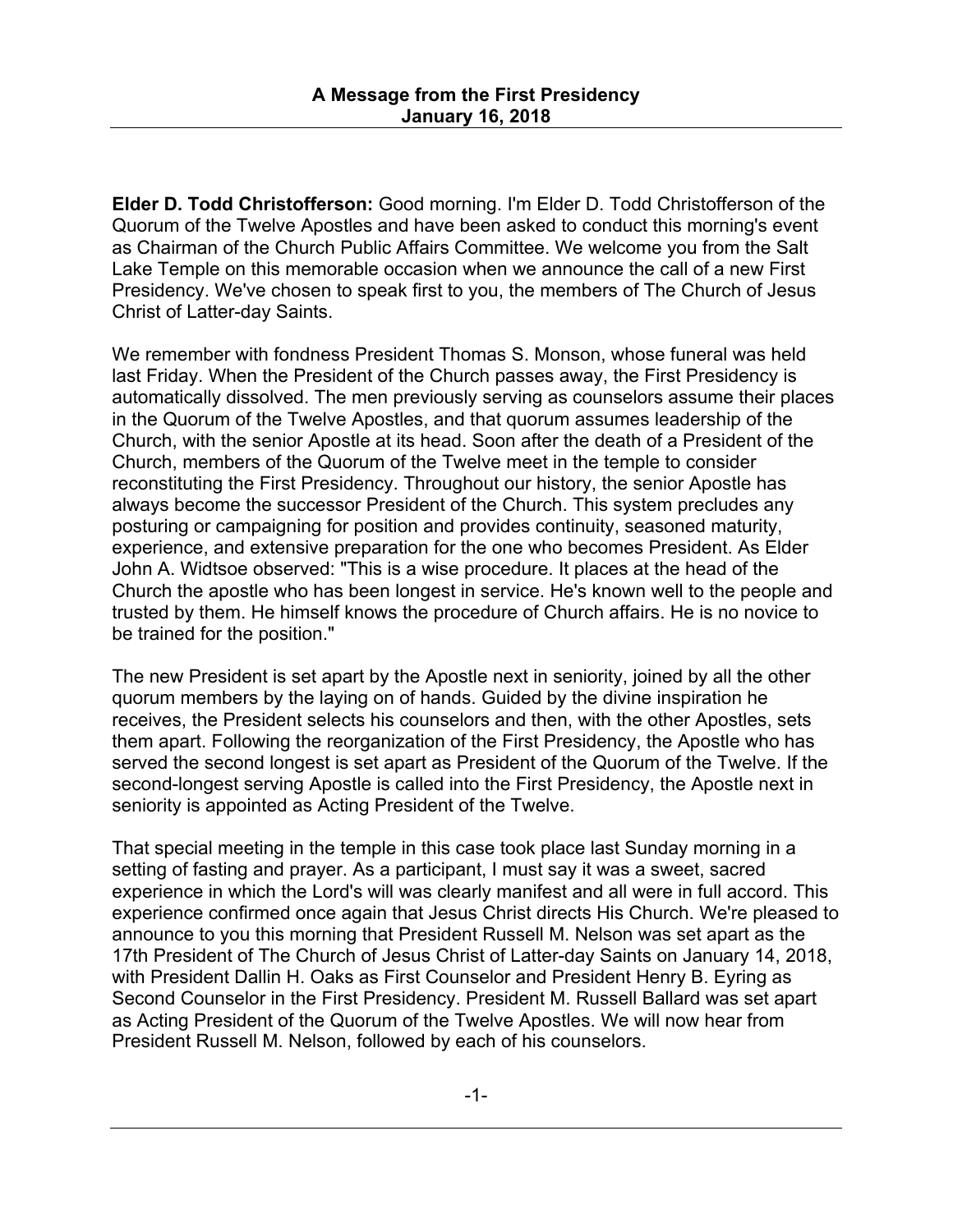**Elder D. Todd Christofferson:** Good morning. I'm Elder D. Todd Christofferson of the Quorum of the Twelve Apostles and have been asked to conduct this morning's event as Chairman of the Church Public Affairs Committee. We welcome you from the Salt Lake Temple on this memorable occasion when we announce the call of a new First Presidency. We've chosen to speak first to you, the members of The Church of Jesus Christ of Latter-day Saints.

We remember with fondness President Thomas S. Monson, whose funeral was held last Friday. When the President of the Church passes away, the First Presidency is automatically dissolved. The men previously serving as counselors assume their places in the Quorum of the Twelve Apostles, and that quorum assumes leadership of the Church, with the senior Apostle at its head. Soon after the death of a President of the Church, members of the Quorum of the Twelve meet in the temple to consider reconstituting the First Presidency. Throughout our history, the senior Apostle has always become the successor President of the Church. This system precludes any posturing or campaigning for position and provides continuity, seasoned maturity, experience, and extensive preparation for the one who becomes President. As Elder John A. Widtsoe observed: "This is a wise procedure. It places at the head of the Church the apostle who has been longest in service. He's known well to the people and trusted by them. He himself knows the procedure of Church affairs. He is no novice to be trained for the position."

The new President is set apart by the Apostle next in seniority, joined by all the other quorum members by the laying on of hands. Guided by the divine inspiration he receives, the President selects his counselors and then, with the other Apostles, sets them apart. Following the reorganization of the First Presidency, the Apostle who has served the second longest is set apart as President of the Quorum of the Twelve. If the second-longest serving Apostle is called into the First Presidency, the Apostle next in seniority is appointed as Acting President of the Twelve.

That special meeting in the temple in this case took place last Sunday morning in a setting of fasting and prayer. As a participant, I must say it was a sweet, sacred experience in which the Lord's will was clearly manifest and all were in full accord. This experience confirmed once again that Jesus Christ directs His Church. We're pleased to announce to you this morning that President Russell M. Nelson was set apart as the 17th President of The Church of Jesus Christ of Latter-day Saints on January 14, 2018, with President Dallin H. Oaks as First Counselor and President Henry B. Eyring as Second Counselor in the First Presidency. President M. Russell Ballard was set apart as Acting President of the Quorum of the Twelve Apostles. We will now hear from President Russell M. Nelson, followed by each of his counselors.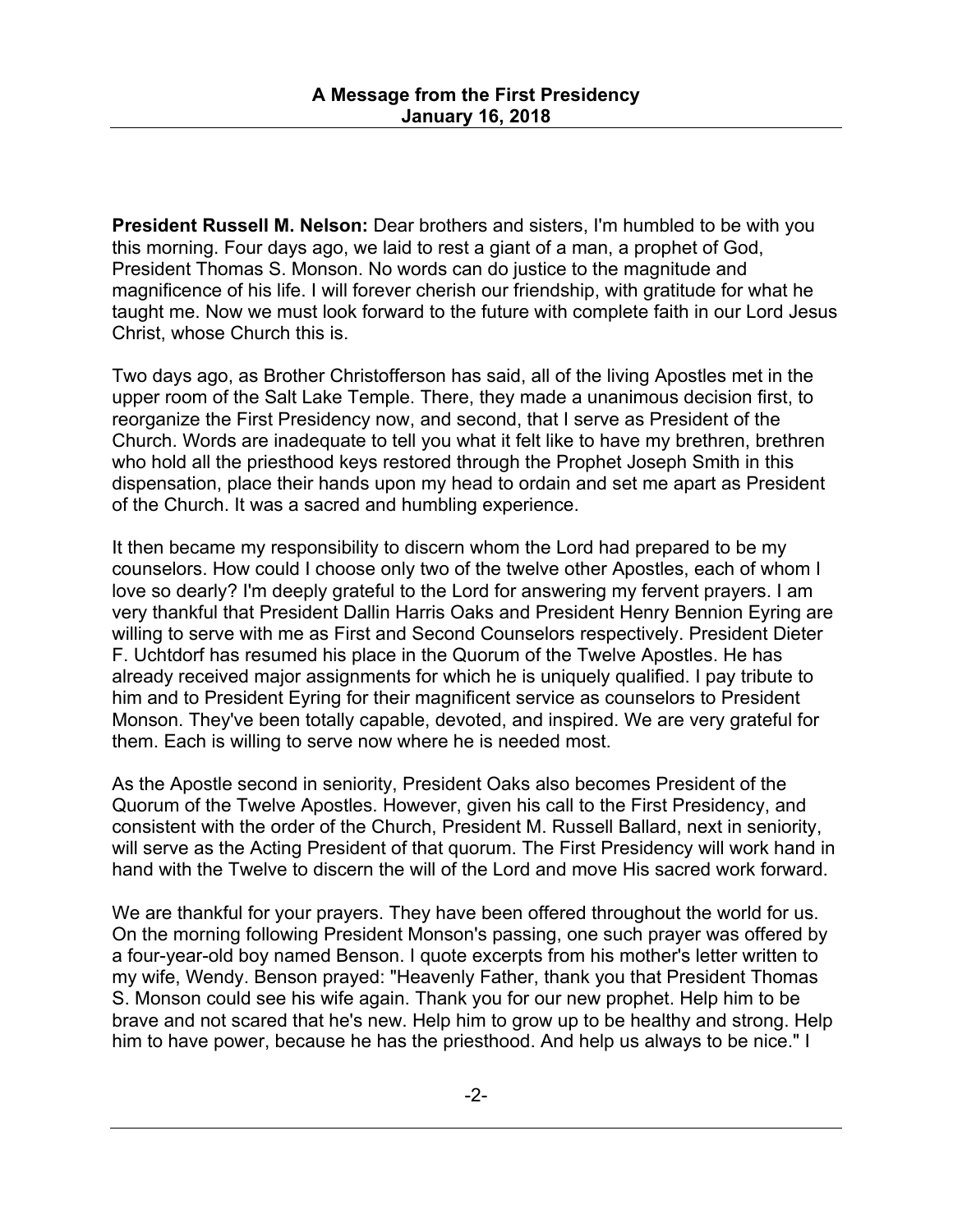**President Russell M. Nelson:** Dear brothers and sisters, I'm humbled to be with you this morning. Four days ago, we laid to rest a giant of a man, a prophet of God, President Thomas S. Monson. No words can do justice to the magnitude and magnificence of his life. I will forever cherish our friendship, with gratitude for what he taught me. Now we must look forward to the future with complete faith in our Lord Jesus Christ, whose Church this is.

Two days ago, as Brother Christofferson has said, all of the living Apostles met in the upper room of the Salt Lake Temple. There, they made a unanimous decision first, to reorganize the First Presidency now, and second, that I serve as President of the Church. Words are inadequate to tell you what it felt like to have my brethren, brethren who hold all the priesthood keys restored through the Prophet Joseph Smith in this dispensation, place their hands upon my head to ordain and set me apart as President of the Church. It was a sacred and humbling experience.

It then became my responsibility to discern whom the Lord had prepared to be my counselors. How could I choose only two of the twelve other Apostles, each of whom I love so dearly? I'm deeply grateful to the Lord for answering my fervent prayers. I am very thankful that President Dallin Harris Oaks and President Henry Bennion Eyring are willing to serve with me as First and Second Counselors respectively. President Dieter F. Uchtdorf has resumed his place in the Quorum of the Twelve Apostles. He has already received major assignments for which he is uniquely qualified. I pay tribute to him and to President Eyring for their magnificent service as counselors to President Monson. They've been totally capable, devoted, and inspired. We are very grateful for them. Each is willing to serve now where he is needed most.

As the Apostle second in seniority, President Oaks also becomes President of the Quorum of the Twelve Apostles. However, given his call to the First Presidency, and consistent with the order of the Church, President M. Russell Ballard, next in seniority, will serve as the Acting President of that quorum. The First Presidency will work hand in hand with the Twelve to discern the will of the Lord and move His sacred work forward.

We are thankful for your prayers. They have been offered throughout the world for us. On the morning following President Monson's passing, one such prayer was offered by a four-year-old boy named Benson. I quote excerpts from his mother's letter written to my wife, Wendy. Benson prayed: "Heavenly Father, thank you that President Thomas S. Monson could see his wife again. Thank you for our new prophet. Help him to be brave and not scared that he's new. Help him to grow up to be healthy and strong. Help him to have power, because he has the priesthood. And help us always to be nice." I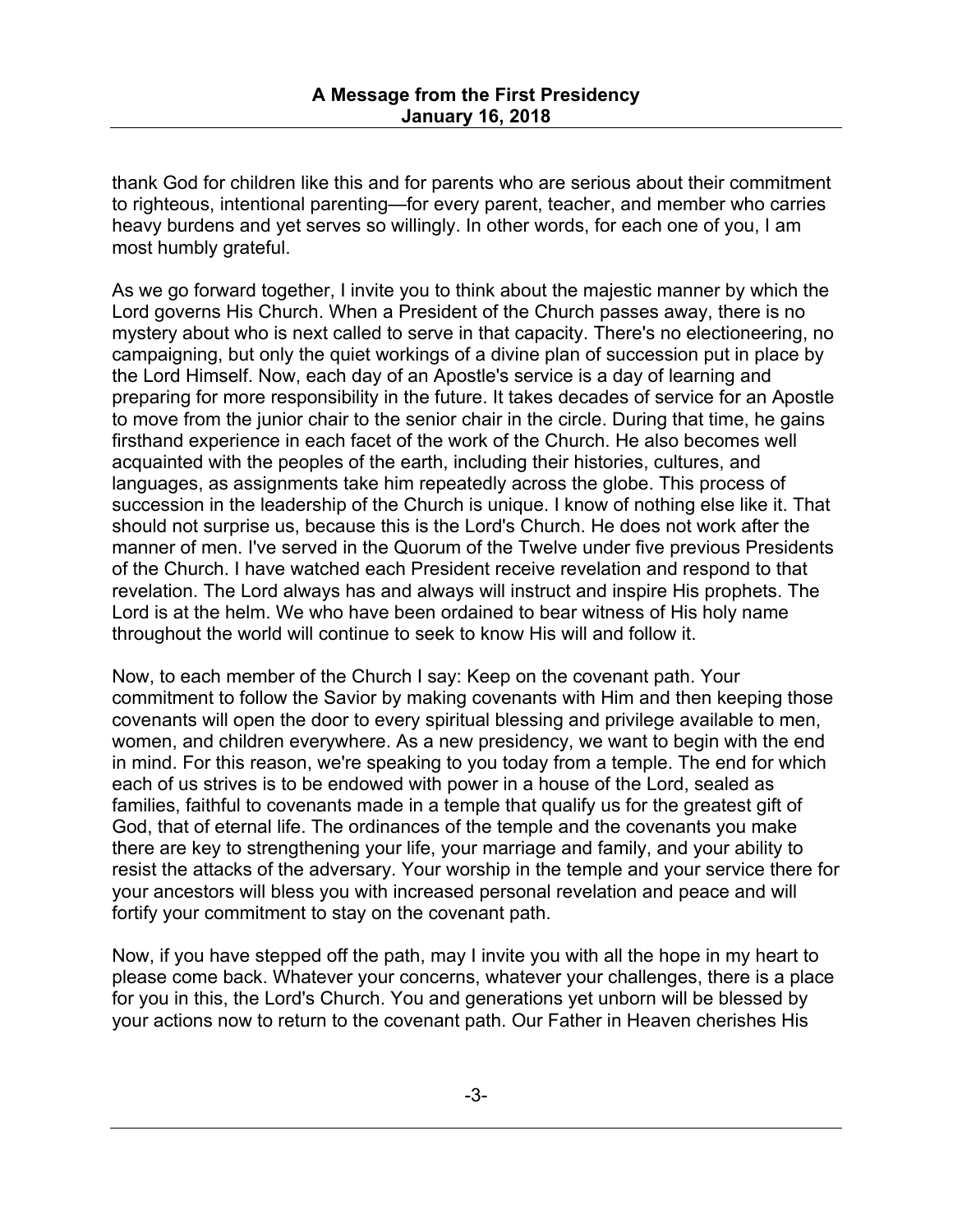thank God for children like this and for parents who are serious about their commitment to righteous, intentional parenting—for every parent, teacher, and member who carries heavy burdens and yet serves so willingly. In other words, for each one of you, I am most humbly grateful.

As we go forward together, I invite you to think about the majestic manner by which the Lord governs His Church. When a President of the Church passes away, there is no mystery about who is next called to serve in that capacity. There's no electioneering, no campaigning, but only the quiet workings of a divine plan of succession put in place by the Lord Himself. Now, each day of an Apostle's service is a day of learning and preparing for more responsibility in the future. It takes decades of service for an Apostle to move from the junior chair to the senior chair in the circle. During that time, he gains firsthand experience in each facet of the work of the Church. He also becomes well acquainted with the peoples of the earth, including their histories, cultures, and languages, as assignments take him repeatedly across the globe. This process of succession in the leadership of the Church is unique. I know of nothing else like it. That should not surprise us, because this is the Lord's Church. He does not work after the manner of men. I've served in the Quorum of the Twelve under five previous Presidents of the Church. I have watched each President receive revelation and respond to that revelation. The Lord always has and always will instruct and inspire His prophets. The Lord is at the helm. We who have been ordained to bear witness of His holy name throughout the world will continue to seek to know His will and follow it.

Now, to each member of the Church I say: Keep on the covenant path. Your commitment to follow the Savior by making covenants with Him and then keeping those covenants will open the door to every spiritual blessing and privilege available to men, women, and children everywhere. As a new presidency, we want to begin with the end in mind. For this reason, we're speaking to you today from a temple. The end for which each of us strives is to be endowed with power in a house of the Lord, sealed as families, faithful to covenants made in a temple that qualify us for the greatest gift of God, that of eternal life. The ordinances of the temple and the covenants you make there are key to strengthening your life, your marriage and family, and your ability to resist the attacks of the adversary. Your worship in the temple and your service there for your ancestors will bless you with increased personal revelation and peace and will fortify your commitment to stay on the covenant path.

Now, if you have stepped off the path, may I invite you with all the hope in my heart to please come back. Whatever your concerns, whatever your challenges, there is a place for you in this, the Lord's Church. You and generations yet unborn will be blessed by your actions now to return to the covenant path. Our Father in Heaven cherishes His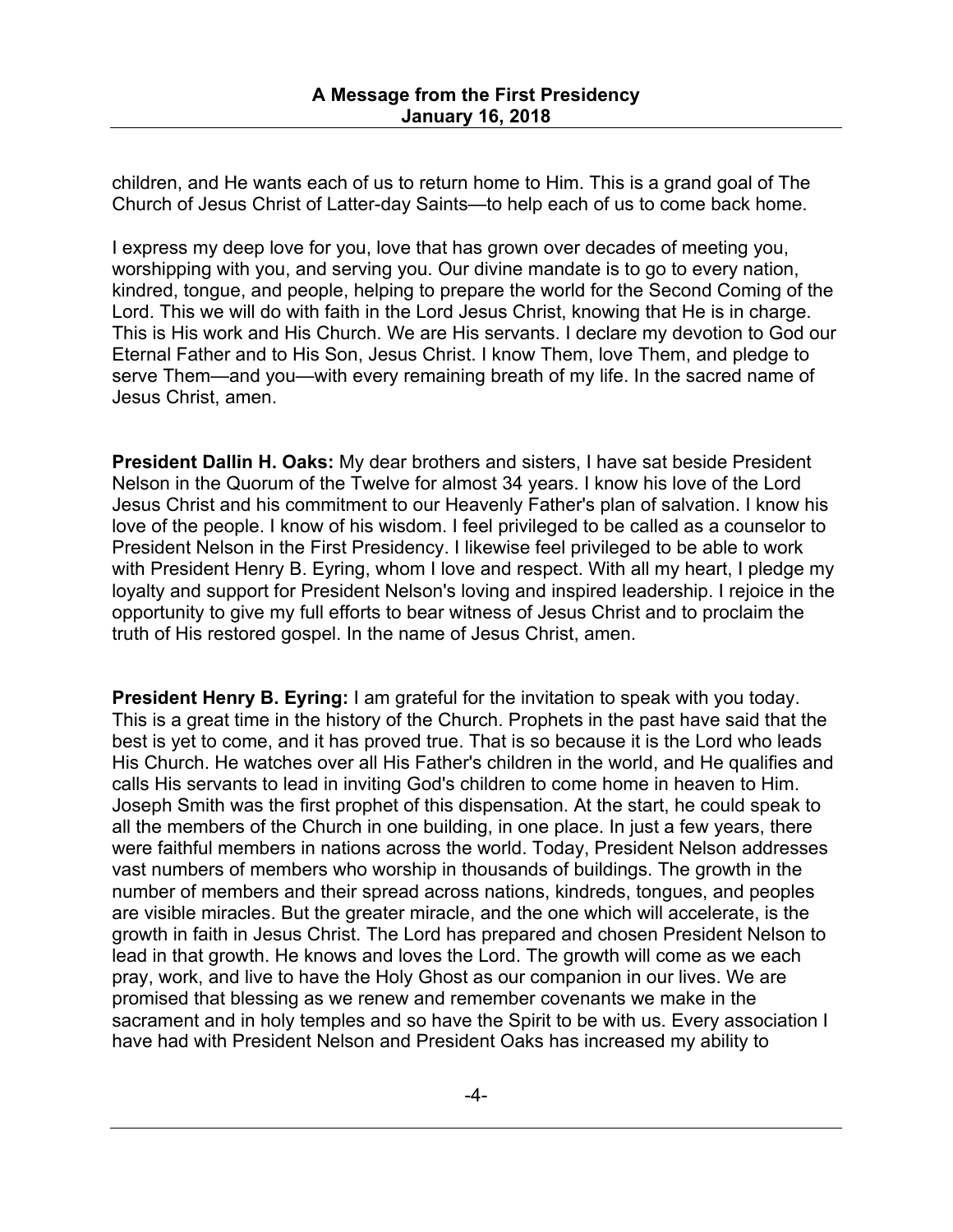children, and He wants each of us to return home to Him. This is a grand goal of The Church of Jesus Christ of Latter-day Saints—to help each of us to come back home.

I express my deep love for you, love that has grown over decades of meeting you, worshipping with you, and serving you. Our divine mandate is to go to every nation, kindred, tongue, and people, helping to prepare the world for the Second Coming of the Lord. This we will do with faith in the Lord Jesus Christ, knowing that He is in charge. This is His work and His Church. We are His servants. I declare my devotion to God our Eternal Father and to His Son, Jesus Christ. I know Them, love Them, and pledge to serve Them—and you—with every remaining breath of my life. In the sacred name of Jesus Christ, amen.

**President Dallin H. Oaks:** My dear brothers and sisters, I have sat beside President Nelson in the Quorum of the Twelve for almost 34 years. I know his love of the Lord Jesus Christ and his commitment to our Heavenly Father's plan of salvation. I know his love of the people. I know of his wisdom. I feel privileged to be called as a counselor to President Nelson in the First Presidency. I likewise feel privileged to be able to work with President Henry B. Eyring, whom I love and respect. With all my heart, I pledge my loyalty and support for President Nelson's loving and inspired leadership. I rejoice in the opportunity to give my full efforts to bear witness of Jesus Christ and to proclaim the truth of His restored gospel. In the name of Jesus Christ, amen.

**President Henry B. Eyring:** I am grateful for the invitation to speak with you today. This is a great time in the history of the Church. Prophets in the past have said that the best is yet to come, and it has proved true. That is so because it is the Lord who leads His Church. He watches over all His Father's children in the world, and He qualifies and calls His servants to lead in inviting God's children to come home in heaven to Him. Joseph Smith was the first prophet of this dispensation. At the start, he could speak to all the members of the Church in one building, in one place. In just a few years, there were faithful members in nations across the world. Today, President Nelson addresses vast numbers of members who worship in thousands of buildings. The growth in the number of members and their spread across nations, kindreds, tongues, and peoples are visible miracles. But the greater miracle, and the one which will accelerate, is the growth in faith in Jesus Christ. The Lord has prepared and chosen President Nelson to lead in that growth. He knows and loves the Lord. The growth will come as we each pray, work, and live to have the Holy Ghost as our companion in our lives. We are promised that blessing as we renew and remember covenants we make in the sacrament and in holy temples and so have the Spirit to be with us. Every association I have had with President Nelson and President Oaks has increased my ability to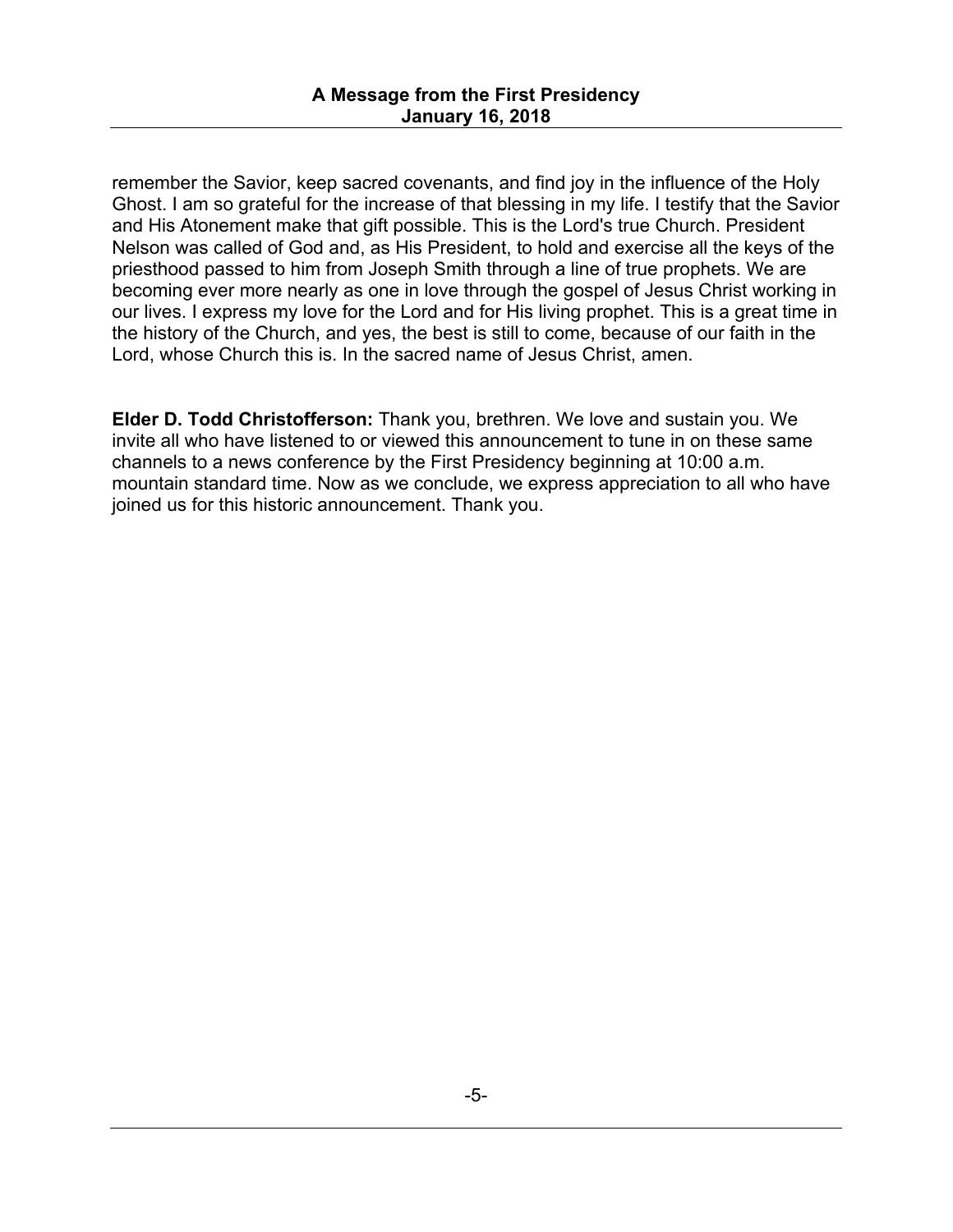remember the Savior, keep sacred covenants, and find joy in the influence of the Holy Ghost. I am so grateful for the increase of that blessing in my life. I testify that the Savior and His Atonement make that gift possible. This is the Lord's true Church. President Nelson was called of God and, as His President, to hold and exercise all the keys of the priesthood passed to him from Joseph Smith through a line of true prophets. We are becoming ever more nearly as one in love through the gospel of Jesus Christ working in our lives. I express my love for the Lord and for His living prophet. This is a great time in the history of the Church, and yes, the best is still to come, because of our faith in the Lord, whose Church this is. In the sacred name of Jesus Christ, amen.

**Elder D. Todd Christofferson:** Thank you, brethren. We love and sustain you. We invite all who have listened to or viewed this announcement to tune in on these same channels to a news conference by the First Presidency beginning at 10:00 a.m. mountain standard time. Now as we conclude, we express appreciation to all who have joined us for this historic announcement. Thank you.